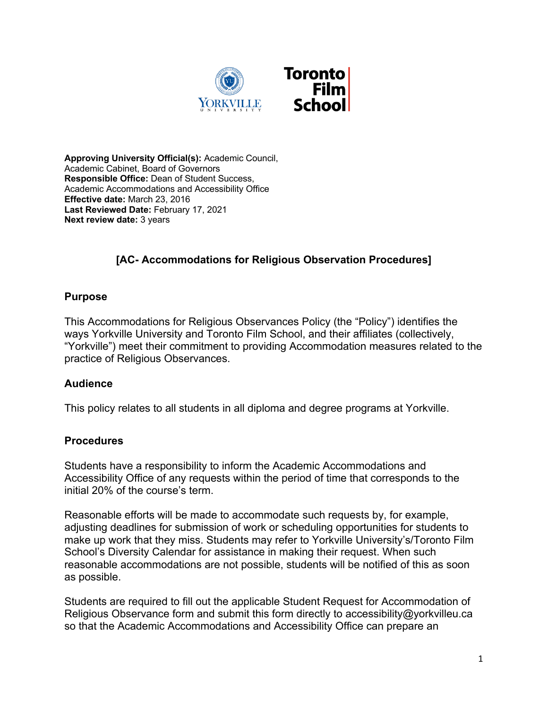

**Approving University Official(s):** Academic Council, Academic Cabinet, Board of Governors **Responsible Office:** Dean of Student Success, Academic Accommodations and Accessibility Office **Effective date:** March 23, 2016 **Last Reviewed Date:** February 17, 2021 **Next review date:** 3 years

## **[AC- Accommodations for Religious Observation Procedures]**

## **Purpose**

This Accommodations for Religious Observances Policy (the "Policy") identifies the ways Yorkville University and Toronto Film School, and their affiliates (collectively, "Yorkville") meet their commitment to providing Accommodation measures related to the practice of Religious Observances.

## **Audience**

This policy relates to all students in all diploma and degree programs at Yorkville.

## **Procedures**

Students have a responsibility to inform the Academic Accommodations and Accessibility Office of any requests within the period of time that corresponds to the initial 20% of the course's term.

Reasonable efforts will be made to accommodate such requests by, for example, adjusting deadlines for submission of work or scheduling opportunities for students to make up work that they miss. Students may refer to Yorkville University's/Toronto Film School's Diversity Calendar for assistance in making their request. When such reasonable accommodations are not possible, students will be notified of this as soon as possible.

Students are required to fill out the applicable Student Request for Accommodation of Religious Observance form and submit this form directly to accessibility@yorkvilleu.ca so that the Academic Accommodations and Accessibility Office can prepare an